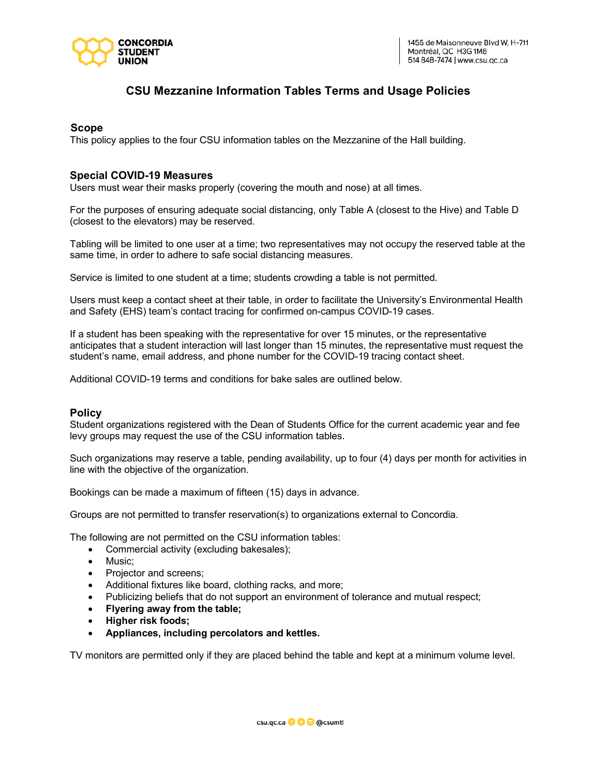

# **CSU Mezzanine Information Tables Terms and Usage Policies**

## **Scope**

This policy applies to the four CSU information tables on the Mezzanine of the Hall building.

## **Special COVID-19 Measures**

Users must wear their masks properly (covering the mouth and nose) at all times.

For the purposes of ensuring adequate social distancing, only Table A (closest to the Hive) and Table D (closest to the elevators) may be reserved.

Tabling will be limited to one user at a time; two representatives may not occupy the reserved table at the same time, in order to adhere to safe social distancing measures.

Service is limited to one student at a time; students crowding a table is not permitted.

Users must keep a contact sheet at their table, in order to facilitate the University's Environmental Health and Safety (EHS) team's contact tracing for confirmed on-campus COVID-19 cases.

If a student has been speaking with the representative for over 15 minutes, or the representative anticipates that a student interaction will last longer than 15 minutes, the representative must request the student's name, email address, and phone number for the COVID-19 tracing contact sheet.

Additional COVID-19 terms and conditions for bake sales are outlined below.

#### **Policy**

Student organizations registered with the Dean of Students Office for the current academic year and fee levy groups may request the use of the CSU information tables.

Such organizations may reserve a table, pending availability, up to four (4) days per month for activities in line with the objective of the organization.

Bookings can be made a maximum of fifteen (15) days in advance.

Groups are not permitted to transfer reservation(s) to organizations external to Concordia.

The following are not permitted on the CSU information tables:

- Commercial activity (excluding bakesales);
- Music;
- Projector and screens;
- Additional fixtures like board, clothing racks, and more;
- Publicizing beliefs that do not support an environment of tolerance and mutual respect;
- **Flyering away from the table;**
- **Higher risk foods;**
- **Appliances, including percolators and kettles.**

TV monitors are permitted only if they are placed behind the table and kept at a minimum volume level.